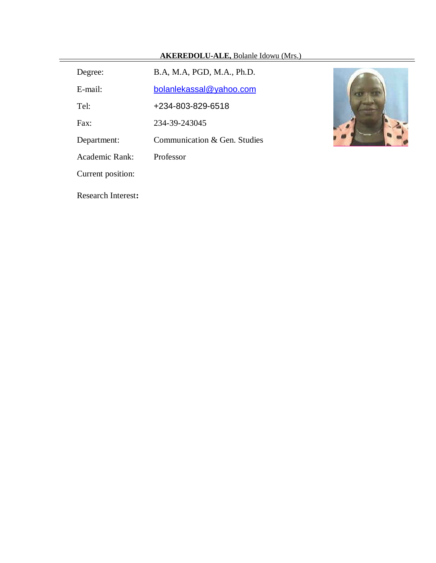| <b>AKEREDOLU-ALE, Bolanle Idowu (Mrs.)</b> |
|--------------------------------------------|
|--------------------------------------------|

| B.A, M.A, PGD, M.A., Ph.D.   |
|------------------------------|
| bolanlekassal@yahoo.com      |
| +234-803-829-6518            |
| 234-39-243045                |
| Communication & Gen. Studies |
| Professor                    |
|                              |
|                              |

Research Interest**:**

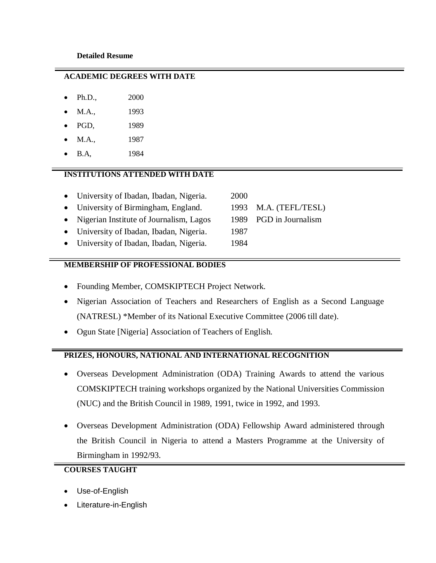#### **ACADEMIC DEGREES WITH DATE**

- Ph.D., 2000
- M.A., 1993
- PGD, 1989
- M.A., 1987
- B.A, 1984

# **INSTITUTIONS ATTENDED WITH DATE**

- University of Ibadan, Ibadan, Nigeria. 2000
- University of Birmingham, England. 1993 M.A. (TEFL/TESL)
- Nigerian Institute of Journalism, Lagos 1989 PGD in Journalism
- University of Ibadan, Ibadan, Nigeria. 1987
- University of Ibadan, Ibadan, Nigeria. 1984

# **MEMBERSHIP OF PROFESSIONAL BODIES**

- Founding Member, COMSKIPTECH Project Network.
- Nigerian Association of Teachers and Researchers of English as a Second Language (NATRESL) \*Member of its National Executive Committee (2006 till date).
- Ogun State [Nigeria] Association of Teachers of English.

# **PRIZES, HONOURS, NATIONAL AND INTERNATIONAL RECOGNITION**

- Overseas Development Administration (ODA) Training Awards to attend the various COMSKIPTECH training workshops organized by the National Universities Commission (NUC) and the British Council in 1989, 1991, twice in 1992, and 1993.
- Overseas Development Administration (ODA) Fellowship Award administered through the British Council in Nigeria to attend a Masters Programme at the University of Birmingham in 1992/93.

# **COURSES TAUGHT**

- Use-of-English
- Literature-in-English
- 
- 
-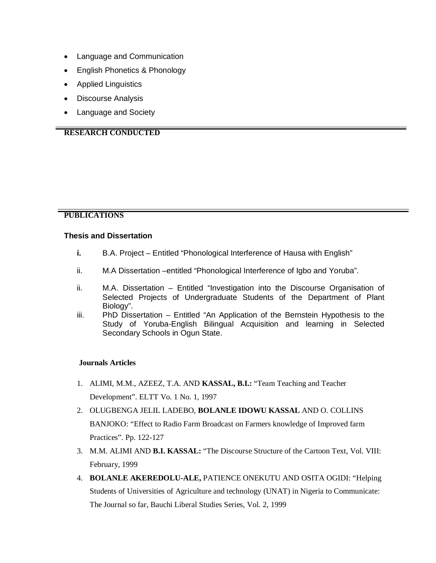- Language and Communication
- English Phonetics & Phonology
- Applied Linguistics
- Discourse Analysis
- Language and Society

# **RESEARCH CONDUCTED**

# **PUBLICATIONS**

#### **Thesis and Dissertation**

- **i.** B.A. Project Entitled "Phonological Interference of Hausa with English"
- ii. M.A Dissertation –entitled "Phonological Interference of Igbo and Yoruba".
- ii. M.A. Dissertation Entitled "Investigation into the Discourse Organisation of Selected Projects of Undergraduate Students of the Department of Plant Biology".
- iii. PhD Dissertation Entitled "An Application of the Bernstein Hypothesis to the Study of Yoruba-English Bilingual Acquisition and learning in Selected Secondary Schools in Ogun State.

#### **Journals Articles**

- 1. ALIMI, M.M., AZEEZ, T.A. AND **KASSAL, B.I.:** "Team Teaching and Teacher Development". ELTT Vo. 1 No. 1, 1997
- 2. OLUGBENGA JELIL LADEBO, **BOLANLE IDOWU KASSAL** AND O. COLLINS BANJOKO: "Effect to Radio Farm Broadcast on Farmers knowledge of Improved farm Practices". Pp. 122-127
- 3. M.M. ALIMI AND **B.I. KASSAL:** "The Discourse Structure of the Cartoon Text, Vol. VIII: February, 1999
- 4. **BOLANLE AKEREDOLU-ALE,** PATIENCE ONEKUTU AND OSITA OGIDI: "Helping Students of Universities of Agriculture and technology (UNAT) in Nigeria to Communicate: The Journal so far, Bauchi Liberal Studies Series, Vol. 2, 1999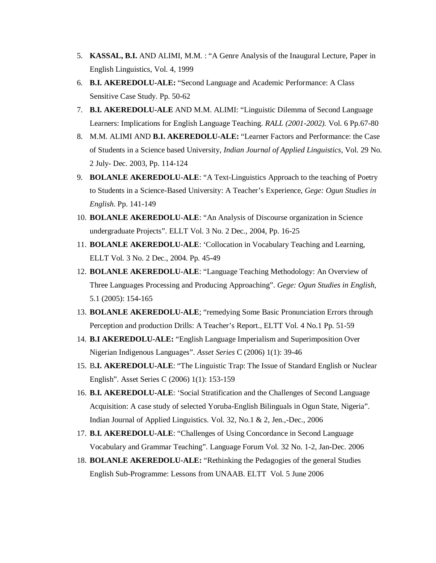- 5. **KASSAL, B.I.** AND ALIMI, M.M. : "A Genre Analysis of the Inaugural Lecture, Paper in English Linguistics, Vol. 4, 1999
- 6. **B.I. AKEREDOLU-ALE:** "Second Language and Academic Performance: A Class Sensitive Case Study. Pp. 50-62
- 7. **B.I. AKEREDOLU-ALE** AND M.M. ALIMI: "Linguistic Dilemma of Second Language Learners: Implications for English Language Teaching. *RALL (2001-2002).* Vol. 6 Pp.67-80
- 8. M.M. ALIMI AND **B.I. AKEREDOLU-ALE:** "Learner Factors and Performance: the Case of Students in a Science based University, *Indian Journal of Applied Linguistics*, Vol. 29 No. 2 July- Dec. 2003, Pp. 114-124
- 9. **BOLANLE AKEREDOLU-ALE**: "A Text-Linguistics Approach to the teaching of Poetry to Students in a Science-Based University: A Teacher's Experience, *Gege: Ogun Studies in English*. Pp. 141-149
- 10. **BOLANLE AKEREDOLU**-**ALE**: "An Analysis of Discourse organization in Science undergraduate Projects". ELLT Vol. 3 No. 2 Dec., 2004, Pp. 16-25
- 11. **BOLANLE AKEREDOLU-ALE**: 'Collocation in Vocabulary Teaching and Learning, ELLT Vol. 3 No. 2 Dec., 2004. Pp. 45-49
- 12. **BOLANLE AKEREDOLU-ALE**: "Language Teaching Methodology: An Overview of Three Languages Processing and Producing Approaching". *Gege: Ogun Studies in English,* 5.1 (2005): 154-165
- 13. **BOLANLE AKEREDOLU-ALE**; "remedying Some Basic Pronunciation Errors through Perception and production Drills: A Teacher's Report., ELTT Vol. 4 No.1 Pp. 51-59
- 14. **B.I AKEREDOLU-ALE:** "English Language Imperialism and Superimposition Over Nigerian Indigenous Languages". *Asset Series* C (2006) 1(1): 39-46
- 15. B**.I. AKEREDOLU-ALE**: "The Linguistic Trap: The Issue of Standard English or Nuclear English". Asset Series C (2006) 1(1): 153-159
- 16. **B.I. AKEREDOLU-ALE**: 'Social Stratification and the Challenges of Second Language Acquisition: A case study of selected Yoruba-English Bilinguals in Ogun State, Nigeria". Indian Journal of Applied Linguistics. Vol. 32, No.1 & 2, Jen.,-Dec., 2006
- 17. **B.I. AKEREDOLU-ALE**: "Challenges of Using Concordance in Second Language Vocabulary and Grammar Teaching". Language Forum Vol. 32 No. 1-2, Jan-Dec. 2006
- 18. **BOLANLE AKEREDOLU-ALE:** "Rethinking the Pedagogies of the general Studies English Sub-Programme: Lessons from UNAAB. ELTT Vol. 5 June 2006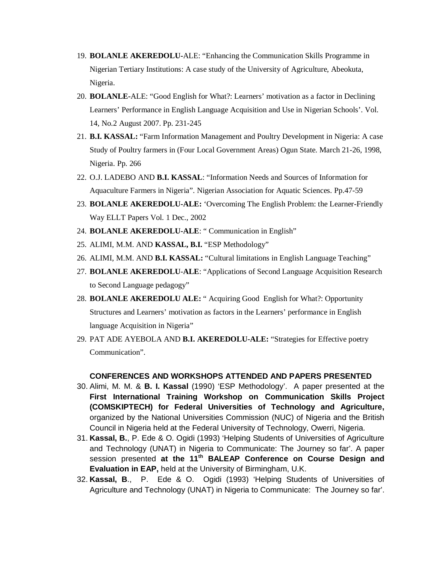- 19. **BOLANLE AKEREDOLU-**ALE: "Enhancing the Communication Skills Programme in Nigerian Tertiary Institutions: A case study of the University of Agriculture, Abeokuta, Nigeria.
- 20. **BOLANLE-**ALE: "Good English for What?: Learners' motivation as a factor in Declining Learners' Performance in English Language Acquisition and Use in Nigerian Schools'. Vol. 14, No.2 August 2007. Pp. 231-245
- 21. **B.I. KASSAL:** "Farm Information Management and Poultry Development in Nigeria: A case Study of Poultry farmers in (Four Local Government Areas) Ogun State. March 21-26, 1998, Nigeria. Pp. 266
- 22. O.J. LADEBO AND **B.I. KASSAL**: "Information Needs and Sources of Information for Aquaculture Farmers in Nigeria". Nigerian Association for Aquatic Sciences. Pp.47-59
- 23. **BOLANLE AKEREDOLU-ALE:** 'Overcoming The English Problem: the Learner-Friendly Way ELLT Papers Vol. 1 Dec., 2002
- 24. **BOLANLE AKEREDOLU-ALE**: " Communication in English"
- 25. ALIMI, M.M. AND **KASSAL, B.I.** "ESP Methodology"
- 26. ALIMI, M.M. AND **B.I. KASSAL:** "Cultural limitations in English Language Teaching"
- 27. **BOLANLE AKEREDOLU**-**ALE**: "Applications of Second Language Acquisition Research to Second Language pedagogy"
- 28. **BOLANLE AKEREDOLU ALE:** " Acquiring Good English for What?: Opportunity Structures and Learners' motivation as factors in the Learners' performance in English language Acquisition in Nigeria"
- 29. PAT ADE AYEBOLA AND **B.I. AKEREDOLU-ALE:** "Strategies for Effective poetry Communication".

#### **CONFERENCES AND WORKSHOPS ATTENDED AND PAPERS PRESENTED**

- 30. Alimi, M. M. & **B. I. Kassal** (1990) 'ESP Methodology'. A paper presented at the **First International Training Workshop on Communication Skills Project (COMSKIPTECH) for Federal Universities of Technology and Agriculture,**  organized by the National Universities Commission (NUC) of Nigeria and the British Council in Nigeria held at the Federal University of Technology, Owerri, Nigeria.
- 31. **Kassal, B.**, P. Ede & O. Ogidi (1993) 'Helping Students of Universities of Agriculture and Technology (UNAT) in Nigeria to Communicate: The Journey so far'. A paper session presented **at the 11th BALEAP Conference on Course Design and Evaluation in EAP,** held at the University of Birmingham, U.K.
- 32. **Kassal, B**., P. Ede & O. Ogidi (1993) 'Helping Students of Universities of Agriculture and Technology (UNAT) in Nigeria to Communicate: The Journey so far'.